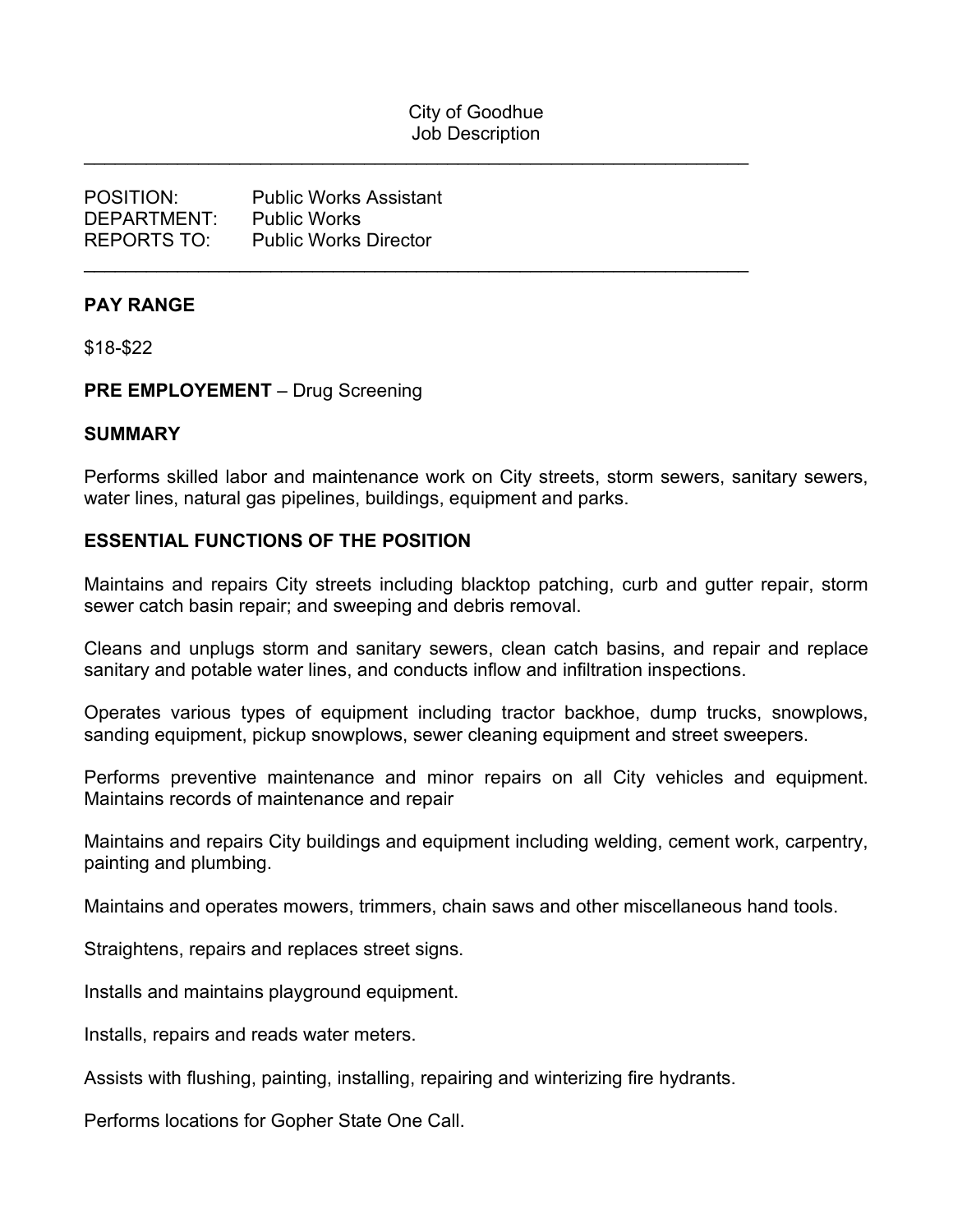## City of Goodhue Job Description

\_\_\_\_\_\_\_\_\_\_\_\_\_\_\_\_\_\_\_\_\_\_\_\_\_\_\_\_\_\_\_\_\_\_\_\_\_\_\_\_\_\_\_\_\_\_\_\_\_\_\_\_\_\_\_\_\_\_\_\_\_\_\_\_

\_\_\_\_\_\_\_\_\_\_\_\_\_\_\_\_\_\_\_\_\_\_\_\_\_\_\_\_\_\_\_\_\_\_\_\_\_\_\_\_\_\_\_\_\_\_\_\_\_\_\_\_\_\_\_\_\_\_\_\_\_\_\_\_

| <b>POSITION:</b>        | <b>Public Works Assistant</b> |
|-------------------------|-------------------------------|
| DFPARTMENT <sup>.</sup> | <b>Public Works</b>           |
| <b>REPORTS TO:</b>      | <b>Public Works Director</b>  |

#### **PAY RANGE**

\$18-\$22

#### **PRE EMPLOYEMENT** – Drug Screening

#### **SUMMARY**

Performs skilled labor and maintenance work on City streets, storm sewers, sanitary sewers, water lines, natural gas pipelines, buildings, equipment and parks.

#### **ESSENTIAL FUNCTIONS OF THE POSITION**

Maintains and repairs City streets including blacktop patching, curb and gutter repair, storm sewer catch basin repair; and sweeping and debris removal.

Cleans and unplugs storm and sanitary sewers, clean catch basins, and repair and replace sanitary and potable water lines, and conducts inflow and infiltration inspections.

Operates various types of equipment including tractor backhoe, dump trucks, snowplows, sanding equipment, pickup snowplows, sewer cleaning equipment and street sweepers.

Performs preventive maintenance and minor repairs on all City vehicles and equipment. Maintains records of maintenance and repair

Maintains and repairs City buildings and equipment including welding, cement work, carpentry, painting and plumbing.

Maintains and operates mowers, trimmers, chain saws and other miscellaneous hand tools.

Straightens, repairs and replaces street signs.

Installs and maintains playground equipment.

Installs, repairs and reads water meters.

Assists with flushing, painting, installing, repairing and winterizing fire hydrants.

Performs locations for Gopher State One Call.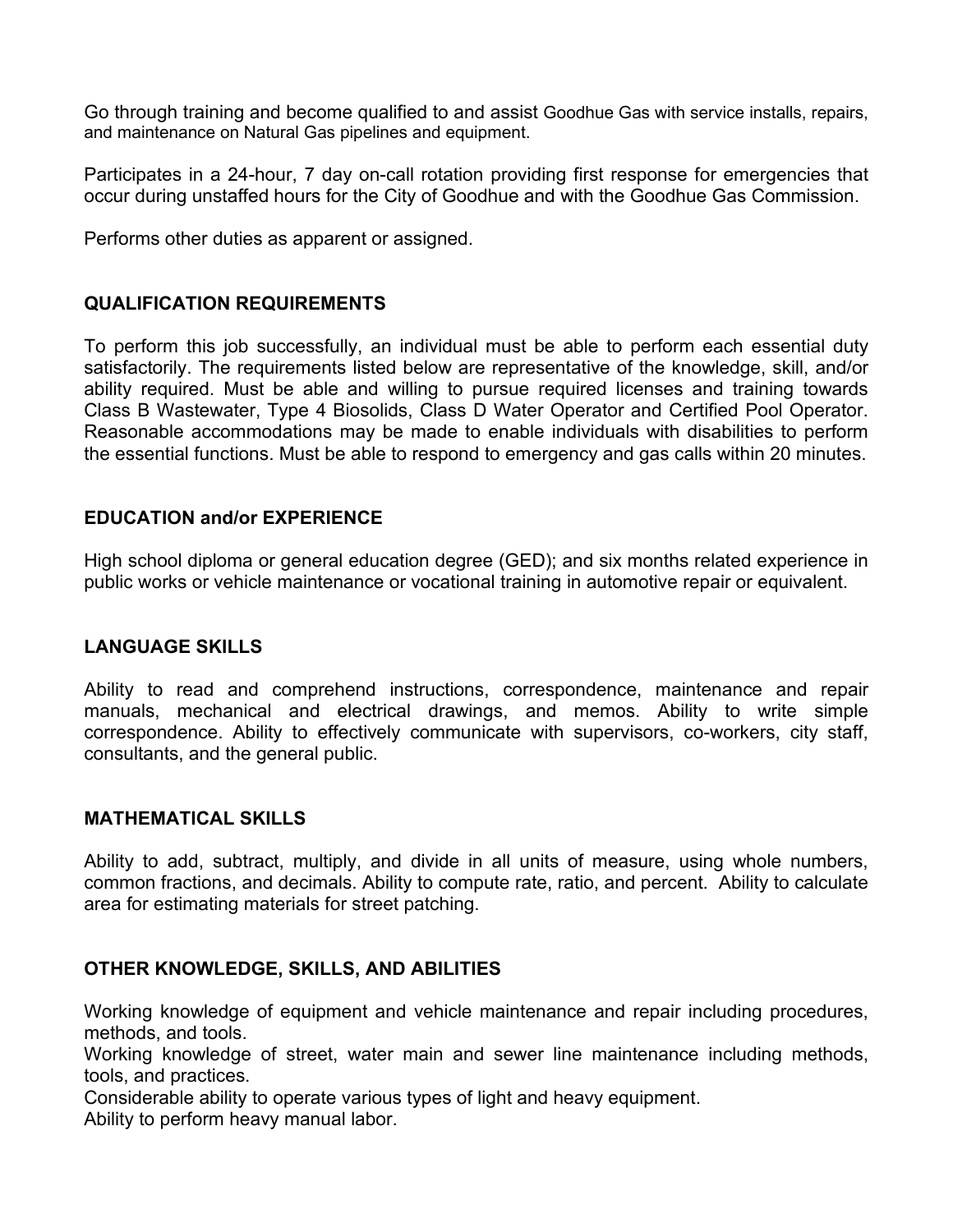Go through training and become qualified to and assist Goodhue Gas with service installs, repairs, and maintenance on Natural Gas pipelines and equipment.

Participates in a 24-hour, 7 day on-call rotation providing first response for emergencies that occur during unstaffed hours for the City of Goodhue and with the Goodhue Gas Commission.

Performs other duties as apparent or assigned.

### **QUALIFICATION REQUIREMENTS**

To perform this job successfully, an individual must be able to perform each essential duty satisfactorily. The requirements listed below are representative of the knowledge, skill, and/or ability required. Must be able and willing to pursue required licenses and training towards Class B Wastewater, Type 4 Biosolids, Class D Water Operator and Certified Pool Operator. Reasonable accommodations may be made to enable individuals with disabilities to perform the essential functions. Must be able to respond to emergency and gas calls within 20 minutes.

### **EDUCATION and/or EXPERIENCE**

High school diploma or general education degree (GED); and six months related experience in public works or vehicle maintenance or vocational training in automotive repair or equivalent.

### **LANGUAGE SKILLS**

Ability to read and comprehend instructions, correspondence, maintenance and repair manuals, mechanical and electrical drawings, and memos. Ability to write simple correspondence. Ability to effectively communicate with supervisors, co-workers, city staff, consultants, and the general public.

### **MATHEMATICAL SKILLS**

Ability to add, subtract, multiply, and divide in all units of measure, using whole numbers, common fractions, and decimals. Ability to compute rate, ratio, and percent. Ability to calculate area for estimating materials for street patching.

### **OTHER KNOWLEDGE, SKILLS, AND ABILITIES**

Working knowledge of equipment and vehicle maintenance and repair including procedures, methods, and tools.

Working knowledge of street, water main and sewer line maintenance including methods, tools, and practices.

Considerable ability to operate various types of light and heavy equipment. Ability to perform heavy manual labor.